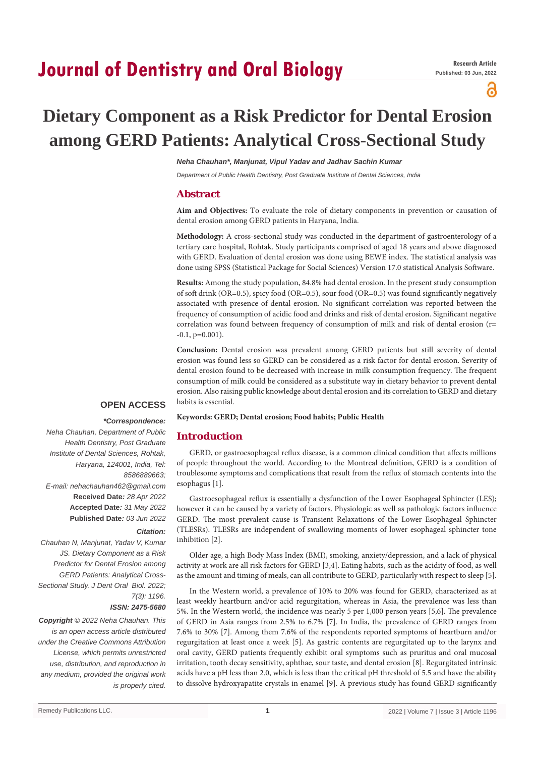# **Journal of Dentistry and Oral Biology**

പ്പ

# **Dietary Component as a Risk Predictor for Dental Erosion among GERD Patients: Analytical Cross-Sectional Study**

*Neha Chauhan\*, Manjunat, Vipul Yadav and Jadhav Sachin Kumar*

*Department of Public Health Dentistry, Post Graduate Institute of Dental Sciences, India*

# **Abstract**

**Aim and Objectives:** To evaluate the role of dietary components in prevention or causation of dental erosion among GERD patients in Haryana, India.

**Methodology:** A cross-sectional study was conducted in the department of gastroenterology of a tertiary care hospital, Rohtak. Study participants comprised of aged 18 years and above diagnosed with GERD. Evaluation of dental erosion was done using BEWE index. The statistical analysis was done using SPSS (Statistical Package for Social Sciences) Version 17.0 statistical Analysis Software.

**Results:** Among the study population, 84.8% had dental erosion. In the present study consumption of soft drink (OR=0.5), spicy food (OR=0.5), sour food (OR=0.5) was found significantly negatively associated with presence of dental erosion. No significant correlation was reported between the frequency of consumption of acidic food and drinks and risk of dental erosion. Significant negative correlation was found between frequency of consumption of milk and risk of dental erosion (r=  $-0.1$ ,  $p=0.001$ ).

**Conclusion:** Dental erosion was prevalent among GERD patients but still severity of dental erosion was found less so GERD can be considered as a risk factor for dental erosion. Severity of dental erosion found to be decreased with increase in milk consumption frequency. The frequent consumption of milk could be considered as a substitute way in dietary behavior to prevent dental erosion. Also raising public knowledge about dental erosion and its correlation to GERD and dietary habits is essential.

# **OPEN ACCESS**

#### *\*Correspondence:*

*Neha Chauhan, Department of Public Health Dentistry, Post Graduate Institute of Dental Sciences, Rohtak, Haryana, 124001, India, Tel: 8586889663; E-mail: nehachauhan462@gmail.com* **Received Date***: 28 Apr 2022* **Accepted Date***: 31 May 2022* **Published Date***: 03 Jun 2022*

#### *Citation:*

*Chauhan N, Manjunat, Yadav V, Kumar JS. Dietary Component as a Risk Predictor for Dental Erosion among GERD Patients: Analytical Cross-Sectional Study. J Dent Oral Biol. 2022; 7(3): 1196. ISSN: 2475-5680*

*Copyright © 2022 Neha Chauhan. This is an open access article distributed under the Creative Commons Attribution License, which permits unrestricted use, distribution, and reproduction in any medium, provided the original work is properly cited.*

**Keywords: GERD; Dental erosion; Food habits; Public Health**

# **Introduction**

GERD, or gastroesophageal reflux disease, is a common clinical condition that affects millions of people throughout the world. According to the Montreal definition, GERD is a condition of troublesome symptoms and complications that result from the reflux of stomach contents into the esophagus [1].

Gastroesophageal reflux is essentially a dysfunction of the Lower Esophageal Sphincter (LES); however it can be caused by a variety of factors. Physiologic as well as pathologic factors influence GERD. The most prevalent cause is Transient Relaxations of the Lower Esophageal Sphincter (TLESRs). TLESRs are independent of swallowing moments of lower esophageal sphincter tone inhibition [2].

Older age, a high Body Mass Index (BMI), smoking, anxiety/depression, and a lack of physical activity at work are all risk factors for GERD [3,4]. Eating habits, such as the acidity of food, as well as the amount and timing of meals, can all contribute to GERD, particularly with respect to sleep [5].

In the Western world, a prevalence of 10% to 20% was found for GERD, characterized as at least weekly heartburn and/or acid regurgitation, whereas in Asia, the prevalence was less than 5%. In the Western world, the incidence was nearly 5 per 1,000 person years [5,6]. The prevalence of GERD in Asia ranges from 2.5% to 6.7% [7]. In India, the prevalence of GERD ranges from 7.6% to 30% [7]. Among them 7.6% of the respondents reported symptoms of heartburn and/or regurgitation at least once a week [5]. As gastric contents are regurgitated up to the larynx and oral cavity, GERD patients frequently exhibit oral symptoms such as pruritus and oral mucosal irritation, tooth decay sensitivity, aphthae, sour taste, and dental erosion [8]. Regurgitated intrinsic acids have a pH less than 2.0, which is less than the critical pH threshold of 5.5 and have the ability to dissolve hydroxyapatite crystals in enamel [9]. A previous study has found GERD significantly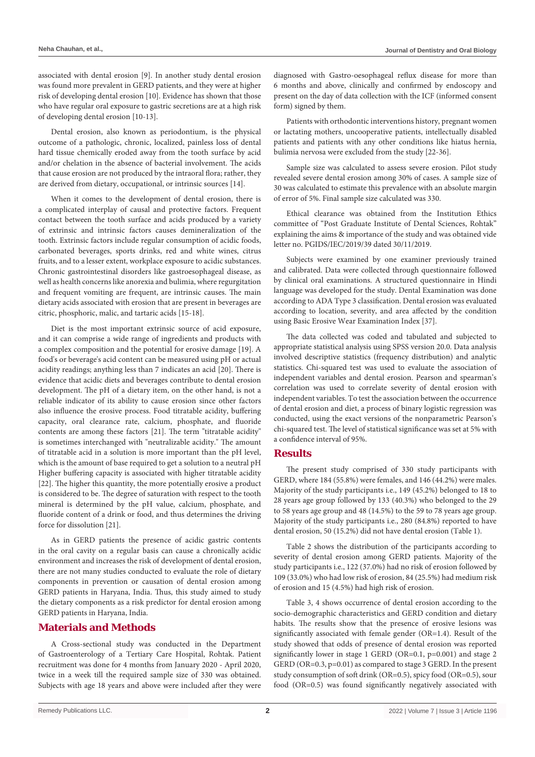associated with dental erosion [9]. In another study dental erosion was found more prevalent in GERD patients, and they were at higher risk of developing dental erosion [10]. Evidence has shown that those who have regular oral exposure to gastric secretions are at a high risk of developing dental erosion [10-13].

Dental erosion, also known as periodontium, is the physical outcome of a pathologic, chronic, localized, painless loss of dental hard tissue chemically eroded away from the tooth surface by acid and/or chelation in the absence of bacterial involvement. The acids that cause erosion are not produced by the intraoral flora; rather, they are derived from dietary, occupational, or intrinsic sources [14].

When it comes to the development of dental erosion, there is a complicated interplay of causal and protective factors. Frequent contact between the tooth surface and acids produced by a variety of extrinsic and intrinsic factors causes demineralization of the tooth. Extrinsic factors include regular consumption of acidic foods, carbonated beverages, sports drinks, red and white wines, citrus fruits, and to a lesser extent, workplace exposure to acidic substances. Chronic gastrointestinal disorders like gastroesophageal disease, as well as health concerns like anorexia and bulimia, where regurgitation and frequent vomiting are frequent, are intrinsic causes. The main dietary acids associated with erosion that are present in beverages are citric, phosphoric, malic, and tartaric acids [15-18].

Diet is the most important extrinsic source of acid exposure, and it can comprise a wide range of ingredients and products with a complex composition and the potential for erosive damage [19]. A food's or beverage's acid content can be measured using pH or actual acidity readings; anything less than 7 indicates an acid [20]. There is evidence that acidic diets and beverages contribute to dental erosion development. The pH of a dietary item, on the other hand, is not a reliable indicator of its ability to cause erosion since other factors also influence the erosive process. Food titratable acidity, buffering capacity, oral clearance rate, calcium, phosphate, and fluoride contents are among these factors [21]. The term "titratable acidity" is sometimes interchanged with "neutralizable acidity." The amount of titratable acid in a solution is more important than the pH level, which is the amount of base required to get a solution to a neutral pH Higher buffering capacity is associated with higher titratable acidity [22]. The higher this quantity, the more potentially erosive a product is considered to be. The degree of saturation with respect to the tooth mineral is determined by the pH value, calcium, phosphate, and fluoride content of a drink or food, and thus determines the driving force for dissolution [21].

As in GERD patients the presence of acidic gastric contents in the oral cavity on a regular basis can cause a chronically acidic environment and increases the risk of development of dental erosion, there are not many studies conducted to evaluate the role of dietary components in prevention or causation of dental erosion among GERD patients in Haryana, India. Thus, this study aimed to study the dietary components as a risk predictor for dental erosion among GERD patients in Haryana, India.

# **Materials and Methods**

A Cross-sectional study was conducted in the Department of Gastroenterology of a Tertiary Care Hospital, Rohtak. Patient recruitment was done for 4 months from January 2020 - April 2020, twice in a week till the required sample size of 330 was obtained. Subjects with age 18 years and above were included after they were diagnosed with Gastro-oesophageal reflux disease for more than 6 months and above, clinically and confirmed by endoscopy and present on the day of data collection with the ICF (informed consent form) signed by them.

Patients with orthodontic interventions history, pregnant women or lactating mothers, uncooperative patients, intellectually disabled patients and patients with any other conditions like hiatus hernia, bulimia nervosa were excluded from the study [22-36].

Sample size was calculated to assess severe erosion. Pilot study revealed severe dental erosion among 30% of cases. A sample size of 30 was calculated to estimate this prevalence with an absolute margin of error of 5%. Final sample size calculated was 330.

Ethical clearance was obtained from the Institution Ethics committee of "Post Graduate Institute of Dental Sciences, Rohtak" explaining the aims & importance of the study and was obtained vide letter no. PGIDS/IEC/2019/39 dated 30/11/2019.

Subjects were examined by one examiner previously trained and calibrated. Data were collected through questionnaire followed by clinical oral examinations. A structured questionnaire in Hindi language was developed for the study. Dental Examination was done according to ADA Type 3 classification. Dental erosion was evaluated according to location, severity, and area affected by the condition using Basic Erosive Wear Examination Index [37].

The data collected was coded and tabulated and subjected to appropriate statistical analysis using SPSS version 20.0. Data analysis involved descriptive statistics (frequency distribution) and analytic statistics. Chi-squared test was used to evaluate the association of independent variables and dental erosion. Pearson and spearman's correlation was used to correlate severity of dental erosion with independent variables. To test the association between the occurrence of dental erosion and diet, a process of binary logistic regression was conducted, using the exact versions of the nonparametric Pearson's chi-squared test. The level of statistical significance was set at 5% with a confidence interval of 95%.

# **Results**

The present study comprised of 330 study participants with GERD, where 184 (55.8%) were females, and 146 (44.2%) were males. Majority of the study participants i.e., 149 (45.2%) belonged to 18 to 28 years age group followed by 133 (40.3%) who belonged to the 29 to 58 years age group and 48 (14.5%) to the 59 to 78 years age group. Majority of the study participants i.e., 280 (84.8%) reported to have dental erosion, 50 (15.2%) did not have dental erosion (Table 1).

Table 2 shows the distribution of the participants according to severity of dental erosion among GERD patients. Majority of the study participants i.e., 122 (37.0%) had no risk of erosion followed by 109 (33.0%) who had low risk of erosion, 84 (25.5%) had medium risk of erosion and 15 (4.5%) had high risk of erosion.

Table 3, 4 shows occurrence of dental erosion according to the socio-demographic characteristics and GERD condition and dietary habits. The results show that the presence of erosive lesions was significantly associated with female gender (OR=1.4). Result of the study showed that odds of presence of dental erosion was reported significantly lower in stage 1 GERD (OR=0.1, p=0.001) and stage 2 GERD (OR=0.3, p=0.01) as compared to stage 3 GERD. In the present study consumption of soft drink (OR=0.5), spicy food (OR=0.5), sour food (OR=0.5) was found significantly negatively associated with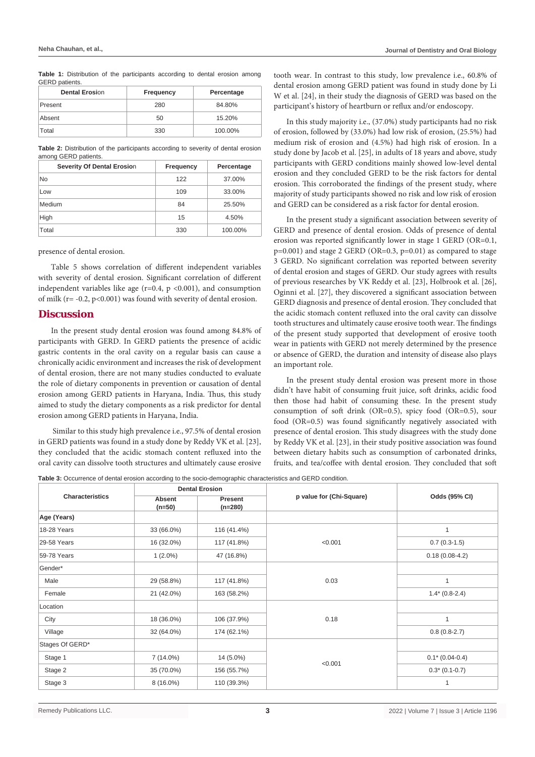Table 1: Distribution of the participants according to dental erosion among GERD patients.

| <b>Dental Erosion</b> | Frequency | Percentage |
|-----------------------|-----------|------------|
| Present               | 280       | 84.80%     |
| Absent                | 50        | 15.20%     |
| Total                 | 330       | 100.00%    |

**Table 2:** Distribution of the participants according to severity of dental erosion among GERD patients.

| Severity Of Dental Erosion | Frequency | Percentage |
|----------------------------|-----------|------------|
| No                         | 122       | 37.00%     |
| Low                        | 109       | 33.00%     |
| Medium                     | 84        | 25.50%     |
| High                       | 15        | 4.50%      |
| Total                      | 330       | 100.00%    |

#### presence of dental erosion.

Table 5 shows correlation of different independent variables with severity of dental erosion. Significant correlation of different independent variables like age ( $r=0.4$ ,  $p < 0.001$ ), and consumption of milk ( $r = -0.2$ ,  $p < 0.001$ ) was found with severity of dental erosion.

### **Discussion**

In the present study dental erosion was found among 84.8% of participants with GERD. In GERD patients the presence of acidic gastric contents in the oral cavity on a regular basis can cause a chronically acidic environment and increases the risk of development of dental erosion, there are not many studies conducted to evaluate the role of dietary components in prevention or causation of dental erosion among GERD patients in Haryana, India. Thus, this study aimed to study the dietary components as a risk predictor for dental erosion among GERD patients in Haryana, India.

 Similar to this study high prevalence i.e., 97.5% of dental erosion in GERD patients was found in a study done by Reddy VK et al. [23], they concluded that the acidic stomach content refluxed into the oral cavity can dissolve tooth structures and ultimately cause erosive tooth wear. In contrast to this study, low prevalence i.e., 60.8% of dental erosion among GERD patient was found in study done by Li W et al. [24], in their study the diagnosis of GERD was based on the participant's history of heartburn or reflux and/or endoscopy.

In this study majority i.e., (37.0%) study participants had no risk of erosion, followed by (33.0%) had low risk of erosion, (25.5%) had medium risk of erosion and (4.5%) had high risk of erosion. In a study done by Jacob et al. [25], in adults of 18 years and above, study participants with GERD conditions mainly showed low-level dental erosion and they concluded GERD to be the risk factors for dental erosion. This corroborated the findings of the present study, where majority of study participants showed no risk and low risk of erosion and GERD can be considered as a risk factor for dental erosion.

In the present study a significant association between severity of GERD and presence of dental erosion. Odds of presence of dental erosion was reported significantly lower in stage 1 GERD (OR=0.1, p=0.001) and stage 2 GERD (OR=0.3, p=0.01) as compared to stage 3 GERD. No significant correlation was reported between severity of dental erosion and stages of GERD. Our study agrees with results of previous researches by VK Reddy et al. [23], Holbrook et al. [26], Oginni et al. [27], they discovered a significant association between GERD diagnosis and presence of dental erosion. They concluded that the acidic stomach content refluxed into the oral cavity can dissolve tooth structures and ultimately cause erosive tooth wear. The findings of the present study supported that development of erosive tooth wear in patients with GERD not merely determined by the presence or absence of GERD, the duration and intensity of disease also plays an important role.

In the present study dental erosion was present more in those didn't have habit of consuming fruit juice, soft drinks, acidic food then those had habit of consuming these. In the present study consumption of soft drink (OR=0.5), spicy food (OR=0.5), sour food (OR=0.5) was found significantly negatively associated with presence of dental erosion. This study disagrees with the study done by Reddy VK et al. [23], in their study positive association was found between dietary habits such as consumption of carbonated drinks, fruits, and tea/coffee with dental erosion. They concluded that soft

**Table 3:** Occurrence of dental erosion according to the socio-demographic characteristics and GERD condition.

| <b>Characteristics</b> |                           | <b>Dental Erosion</b> |                          | Odds (95% CI)     |  |
|------------------------|---------------------------|-----------------------|--------------------------|-------------------|--|
|                        | <b>Absent</b><br>$(n=50)$ | Present<br>$(n=280)$  | p value for (Chi-Square) |                   |  |
| Age (Years)            |                           |                       |                          |                   |  |
| 18-28 Years            | 33 (66.0%)                | 116 (41.4%)           |                          | $\mathbf{1}$      |  |
| 29-58 Years            | 16 (32.0%)                | 117 (41.8%)           | < 0.001                  | $0.7(0.3-1.5)$    |  |
| 59-78 Years            | $1(2.0\%)$                | 47 (16.8%)            |                          | $0.18(0.08-4.2)$  |  |
| Gender*                |                           |                       |                          |                   |  |
| Male                   | 29 (58.8%)                | 117 (41.8%)           | 0.03                     | 1                 |  |
| Female                 | 21 (42.0%)                | 163 (58.2%)           |                          | $1.4*(0.8-2.4)$   |  |
| Location               |                           |                       |                          |                   |  |
| City                   | 18 (36.0%)                | 106 (37.9%)           | 0.18                     | 1                 |  |
| Village                | 32 (64.0%)                | 174 (62.1%)           |                          | $0.8(0.8-2.7)$    |  |
| Stages Of GERD*        |                           |                       |                          |                   |  |
| Stage 1                | 7 (14.0%)                 | 14 (5.0%)             |                          | $0.1* (0.04-0.4)$ |  |
| Stage 2                | 35 (70.0%)                | 156 (55.7%)           | < 0.001                  | $0.3*(0.1-0.7)$   |  |
| Stage 3                | $8(16.0\%)$               | 110 (39.3%)           |                          | 1                 |  |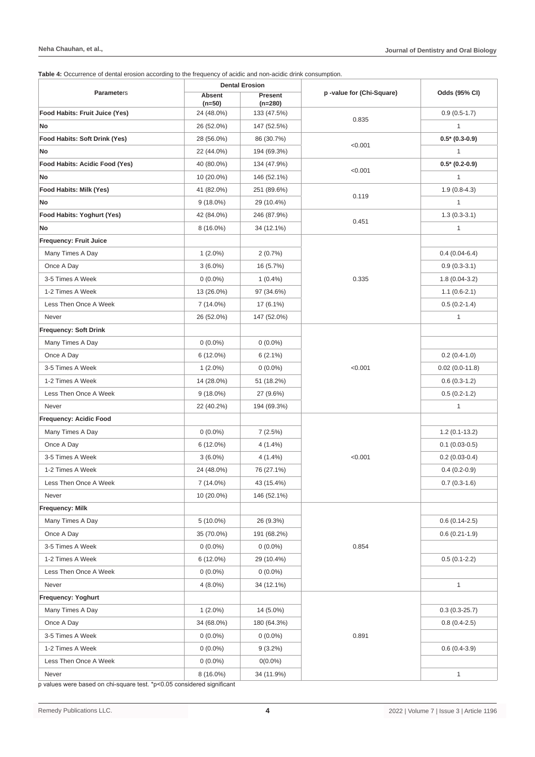**Table 4:** Occurrence of dental erosion according to the frequency of acidic and non-acidic drink consumption.

|                                | <b>Dental Erosion</b>     |                      |                          |                  |  |  |
|--------------------------------|---------------------------|----------------------|--------------------------|------------------|--|--|
| <b>Parameters</b>              | <b>Absent</b><br>$(n=50)$ | Present<br>$(n=280)$ | p-value for (Chi-Square) | Odds (95% CI)    |  |  |
| Food Habits: Fruit Juice (Yes) | 24 (48.0%)                | 133 (47.5%)          |                          | $0.9(0.5-1.7)$   |  |  |
| No                             | 26 (52.0%)                | 147 (52.5%)          | 0.835                    | $\mathbf{1}$     |  |  |
| Food Habits: Soft Drink (Yes)  | 28 (56.0%)                | 86 (30.7%)           |                          | $0.5* (0.3-0.9)$ |  |  |
| No                             | 22 (44.0%)                | 194 (69.3%)          | < 0.001                  | $\mathbf{1}$     |  |  |
| Food Habits: Acidic Food (Yes) | 40 (80.0%)                | 134 (47.9%)          |                          | $0.5*$ (0.2-0.9) |  |  |
| No                             | 10 (20.0%)                | 146 (52.1%)          | < 0.001                  | $\mathbf{1}$     |  |  |
| Food Habits: Milk (Yes)        | 41 (82.0%)                | 251 (89.6%)          |                          | $1.9(0.8-4.3)$   |  |  |
| No                             | $9(18.0\%)$               | 29 (10.4%)           | 0.119                    | 1                |  |  |
| Food Habits: Yoghurt (Yes)     | 42 (84.0%)                | 246 (87.9%)          |                          | $1.3(0.3-3.1)$   |  |  |
| No                             | $8(16.0\%)$               | 34 (12.1%)           | 0.451                    | $\mathbf{1}$     |  |  |
| <b>Frequency: Fruit Juice</b>  |                           |                      |                          |                  |  |  |
| Many Times A Day               | $1(2.0\%)$                | 2(0.7%)              |                          | $0.4(0.04-6.4)$  |  |  |
| Once A Day                     | $3(6.0\%)$                | 16 (5.7%)            |                          | $0.9(0.3-3.1)$   |  |  |
| 3-5 Times A Week               | $0(0.0\%)$                | $1(0.4\%)$           | 0.335                    | $1.8(0.04-3.2)$  |  |  |
| 1-2 Times A Week               | 13 (26.0%)                | 97 (34.6%)           |                          | $1.1(0.6-2.1)$   |  |  |
| Less Then Once A Week          | 7 (14.0%)                 | 17 (6.1%)            |                          | $0.5(0.2-1.4)$   |  |  |
| Never                          | 26 (52.0%)                | 147 (52.0%)          |                          | $\mathbf{1}$     |  |  |
| Frequency: Soft Drink          |                           |                      |                          |                  |  |  |
| Many Times A Day               | $0(0.0\%)$                | $0(0.0\%)$           |                          |                  |  |  |
| Once A Day                     | 6 (12.0%)                 | $6(2.1\%)$           |                          | $0.2(0.4-1.0)$   |  |  |
| 3-5 Times A Week               | $1(2.0\%)$                | $0(0.0\%)$           | < 0.001                  | $0.02(0.0-11.8)$ |  |  |
| 1-2 Times A Week               | 14 (28.0%)                | 51 (18.2%)           |                          | $0.6(0.3-1.2)$   |  |  |
| Less Then Once A Week          | $9(18.0\%)$               | 27 (9.6%)            |                          | $0.5(0.2-1.2)$   |  |  |
| Never                          | 22 (40.2%)                | 194 (69.3%)          |                          | $\mathbf{1}$     |  |  |
| Frequency: Acidic Food         |                           |                      |                          |                  |  |  |
| Many Times A Day               | $0(0.0\%)$                | 7(2.5%)              |                          | $1.2(0.1-13.2)$  |  |  |
| Once A Day                     | 6 (12.0%)                 | 4 (1.4%)             |                          | $0.1(0.03-0.5)$  |  |  |
| 3-5 Times A Week               | $3(6.0\%)$                | $4(1.4\%)$           | < 0.001                  | $0.2(0.03-0.4)$  |  |  |
| 1-2 Times A Week               | 24 (48.0%)                | 76 (27.1%)           |                          | $0.4(0.2-0.9)$   |  |  |
| Less Then Once A Week          | 7 (14.0%)                 | 43 (15.4%)           |                          | $0.7(0.3-1.6)$   |  |  |
| Never                          | 10 (20.0%)                | 146 (52.1%)          |                          |                  |  |  |
| <b>Frequency: Milk</b>         |                           |                      |                          |                  |  |  |
| Many Times A Day               | 5 (10.0%)                 | 26 (9.3%)            |                          | $0.6(0.14-2.5)$  |  |  |
| Once A Day                     | 35 (70.0%)                | 191 (68.2%)          |                          | $0.6(0.21-1.9)$  |  |  |
| 3-5 Times A Week               | $0(0.0\%)$                | $0(0.0\%)$           | 0.854                    |                  |  |  |
| 1-2 Times A Week               | 6 (12.0%)                 | 29 (10.4%)           |                          | $0.5(0.1-2.2)$   |  |  |
| Less Then Once A Week          | $0(0.0\%)$                | $0(0.0\%)$           |                          |                  |  |  |
| Never                          | $4(8.0\%)$                | 34 (12.1%)           |                          | $\mathbf{1}$     |  |  |
| Frequency: Yoghurt             |                           |                      |                          |                  |  |  |
| Many Times A Day               | $1(2.0\%)$                | 14 (5.0%)            |                          | $0.3(0.3-25.7)$  |  |  |
| Once A Day                     | 34 (68.0%)                | 180 (64.3%)          |                          | $0.8(0.4-2.5)$   |  |  |
| 3-5 Times A Week               | $0(0.0\%)$                | $0(0.0\%)$           | 0.891                    |                  |  |  |
| 1-2 Times A Week               | $0(0.0\%)$                | $9(3.2\%)$           |                          | $0.6(0.4-3.9)$   |  |  |
| Less Then Once A Week          | $0(0.0\%)$                | $0(0.0\%)$           |                          |                  |  |  |
| Never                          | 8 (16.0%)                 | 34 (11.9%)           |                          | $\mathbf{1}$     |  |  |

p values were based on chi-square test. \*p<0.05 considered significant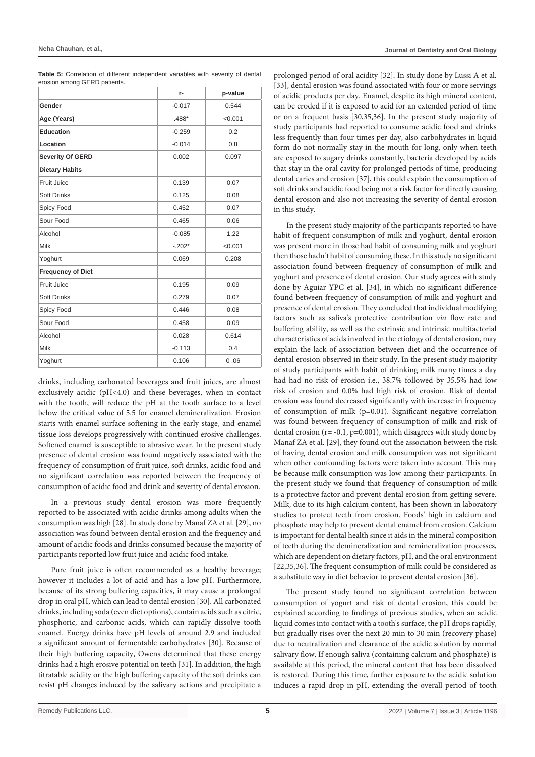|                              |  | Table 5: Correlation of different independent variables with severity of dental |  |  |  |
|------------------------------|--|---------------------------------------------------------------------------------|--|--|--|
| erosion among GERD patients. |  |                                                                                 |  |  |  |

|                          | r-       | p-value |
|--------------------------|----------|---------|
| Gender                   | $-0.017$ | 0.544   |
| Age (Years)              | .488*    | < 0.001 |
| Education                | $-0.259$ | 0.2     |
| Location                 | $-0.014$ | 0.8     |
| <b>Severity Of GERD</b>  | 0.002    | 0.097   |
| <b>Dietary Habits</b>    |          |         |
| <b>Fruit Juice</b>       | 0.139    | 0.07    |
| <b>Soft Drinks</b>       | 0.125    | 0.08    |
| Spicy Food               | 0.452    | 0.07    |
| Sour Food                | 0.465    | 0.06    |
| Alcohol                  | $-0.085$ | 1.22    |
| Milk                     | $-.202*$ | < 0.001 |
| Yoghurt                  | 0.069    | 0.208   |
| <b>Frequency of Diet</b> |          |         |
| Fruit Juice              | 0.195    | 0.09    |
| <b>Soft Drinks</b>       | 0.279    | 0.07    |
| Spicy Food               | 0.446    | 0.08    |
| Sour Food                | 0.458    | 0.09    |
| Alcohol                  | 0.028    | 0.614   |
| Milk                     | $-0.113$ | 0.4     |
| Yoghurt                  | 0.106    | 0.06    |

drinks, including carbonated beverages and fruit juices, are almost exclusively acidic (pH<4.0) and these beverages, when in contact with the tooth, will reduce the pH at the tooth surface to a level below the critical value of 5.5 for enamel demineralization. Erosion starts with enamel surface softening in the early stage, and enamel tissue loss develops progressively with continued erosive challenges. Softened enamel is susceptible to abrasive wear. In the present study presence of dental erosion was found negatively associated with the frequency of consumption of fruit juice, soft drinks, acidic food and no significant correlation was reported between the frequency of consumption of acidic food and drink and severity of dental erosion.

In a previous study dental erosion was more frequently reported to be associated with acidic drinks among adults when the consumption was high [28]. In study done by Manaf ZA et al. [29], no association was found between dental erosion and the frequency and amount of acidic foods and drinks consumed because the majority of participants reported low fruit juice and acidic food intake.

Pure fruit juice is often recommended as a healthy beverage; however it includes a lot of acid and has a low pH. Furthermore, because of its strong buffering capacities, it may cause a prolonged drop in oral pH, which can lead to dental erosion [30]. All carbonated drinks, including soda (even diet options), contain acids such as citric, phosphoric, and carbonic acids, which can rapidly dissolve tooth enamel. Energy drinks have pH levels of around 2.9 and included a significant amount of fermentable carbohydrates [30]. Because of their high buffering capacity, Owens determined that these energy drinks had a high erosive potential on teeth [31]. In addition, the high titratable acidity or the high buffering capacity of the soft drinks can resist pH changes induced by the salivary actions and precipitate a

prolonged period of oral acidity [32]. In study done by Lussi A et al. [33], dental erosion was found associated with four or more servings of acidic products per day. Enamel, despite its high mineral content, can be eroded if it is exposed to acid for an extended period of time or on a frequent basis [30,35,36]. In the present study majority of study participants had reported to consume acidic food and drinks less frequently than four times per day, also carbohydrates in liquid form do not normally stay in the mouth for long, only when teeth are exposed to sugary drinks constantly, bacteria developed by acids that stay in the oral cavity for prolonged periods of time, producing dental caries and erosion [37], this could explain the consumption of soft drinks and acidic food being not a risk factor for directly causing dental erosion and also not increasing the severity of dental erosion in this study.

In the present study majority of the participants reported to have habit of frequent consumption of milk and yoghurt, dental erosion was present more in those had habit of consuming milk and yoghurt then those hadn't habit of consuming these. In this study no significant association found between frequency of consumption of milk and yoghurt and presence of dental erosion. Our study agrees with study done by Aguiar YPC et al. [34], in which no significant difference found between frequency of consumption of milk and yoghurt and presence of dental erosion. They concluded that individual modifying factors such as saliva's protective contribution *via* flow rate and buffering ability, as well as the extrinsic and intrinsic multifactorial characteristics of acids involved in the etiology of dental erosion, may explain the lack of association between diet and the occurrence of dental erosion observed in their study. In the present study majority of study participants with habit of drinking milk many times a day had had no risk of erosion i.e., 38.7% followed by 35.5% had low risk of erosion and 0.0% had high risk of erosion. Risk of dental erosion was found decreased significantly with increase in frequency of consumption of milk (p=0.01). Significant negative correlation was found between frequency of consumption of milk and risk of dental erosion ( $r = -0.1$ ,  $p=0.001$ ), which disagrees with study done by Manaf ZA et al. [29], they found out the association between the risk of having dental erosion and milk consumption was not significant when other confounding factors were taken into account. This may be because milk consumption was low among their participants. In the present study we found that frequency of consumption of milk is a protective factor and prevent dental erosion from getting severe. Milk, due to its high calcium content, has been shown in laboratory studies to protect teeth from erosion. Foods' high in calcium and phosphate may help to prevent dental enamel from erosion. Calcium is important for dental health since it aids in the mineral composition of teeth during the demineralization and remineralization processes, which are dependent on dietary factors, pH, and the oral environment [22,35,36]. The frequent consumption of milk could be considered as a substitute way in diet behavior to prevent dental erosion [36].

The present study found no significant correlation between consumption of yogurt and risk of dental erosion, this could be explained according to findings of previous studies, when an acidic liquid comes into contact with a tooth's surface, the pH drops rapidly, but gradually rises over the next 20 min to 30 min (recovery phase) due to neutralization and clearance of the acidic solution by normal salivary flow. If enough saliva (containing calcium and phosphate) is available at this period, the mineral content that has been dissolved is restored. During this time, further exposure to the acidic solution induces a rapid drop in pH, extending the overall period of tooth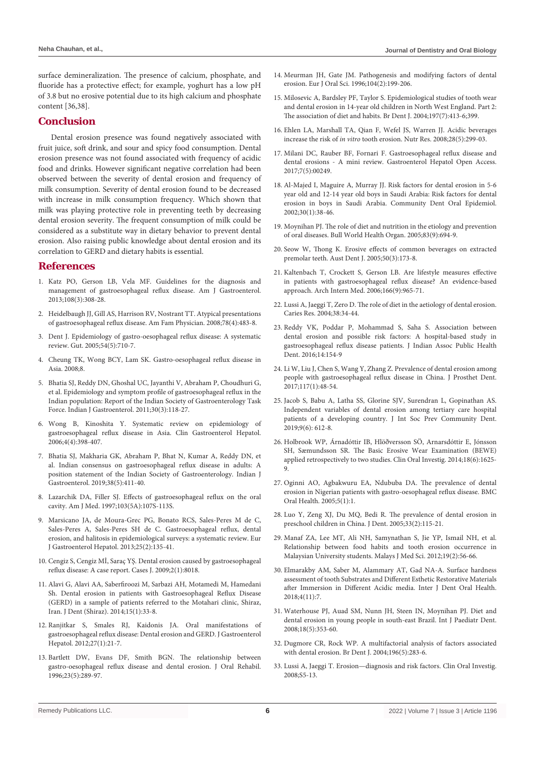surface demineralization. The presence of calcium, phosphate, and fluoride has a protective effect; for example, yoghurt has a low pH of 3.8 but no erosive potential due to its high calcium and phosphate content [36,38].

### **Conclusion**

Dental erosion presence was found negatively associated with fruit juice, soft drink, and sour and spicy food consumption. Dental erosion presence was not found associated with frequency of acidic food and drinks. However significant negative correlation had been observed between the severity of dental erosion and frequency of milk consumption. Severity of dental erosion found to be decreased with increase in milk consumption frequency. Which shown that milk was playing protective role in preventing teeth by decreasing dental erosion severity. The frequent consumption of milk could be considered as a substitute way in dietary behavior to prevent dental erosion. Also raising public knowledge about dental erosion and its correlation to GERD and dietary habits is essential.

#### **References**

- 1. [Katz PO, Gerson LB, Vela MF. Guidelines for the diagnosis and](https://pubmed.ncbi.nlm.nih.gov/23419381/)  [management of gastroesophageal reflux disease. Am J Gastroenterol.](https://pubmed.ncbi.nlm.nih.gov/23419381/)  [2013;108\(3\):308-28.](https://pubmed.ncbi.nlm.nih.gov/23419381/)
- 2. [Heidelbaugh JJ, Gill AS, Harrison RV, Nostrant TT. Atypical presentations](https://pubmed.ncbi.nlm.nih.gov/18756656/)  [of gastroesophageal reflux disease. Am Fam Physician. 2008;78\(4\):483-8.](https://pubmed.ncbi.nlm.nih.gov/18756656/)
- 3. [Dent J. Epidemiology of gastro-oesophageal reflux disease: A systematic](https://pubmed.ncbi.nlm.nih.gov/15831922/)  [review. Gut. 2005;54\(5\):710-7.](https://pubmed.ncbi.nlm.nih.gov/15831922/)
- 4. Cheung TK, Wong BCY, Lam SK. Gastro-oesophageal reflux disease in Asia. 2008;8.
- 5. [Bhatia SJ, Reddy DN, Ghoshal UC, Jayanthi V, Abraham P, Choudhuri G,](https://pubmed.ncbi.nlm.nih.gov/21792655/)  [et al. Epidemiology and symptom profile of gastroesophageal reflux in the](https://pubmed.ncbi.nlm.nih.gov/21792655/)  [Indian population: Report of the Indian Society of Gastroenterology Task](https://pubmed.ncbi.nlm.nih.gov/21792655/)  [Force. Indian J Gastroenterol. 2011;30\(3\):118-27.](https://pubmed.ncbi.nlm.nih.gov/21792655/)
- 6. [Wong B, Kinoshita Y. Systematic review on epidemiology of](https://pubmed.ncbi.nlm.nih.gov/16616342/)  [gastroesophageal reflux disease in Asia. Clin Gastroenterol Hepatol.](https://pubmed.ncbi.nlm.nih.gov/16616342/)  [2006;4\(4\):398-407.](https://pubmed.ncbi.nlm.nih.gov/16616342/)
- 7. [Bhatia SJ, Makharia GK, Abraham P, Bhat N, Kumar A, Reddy DN, et](https://pubmed.ncbi.nlm.nih.gov/31802441/)  [al. Indian consensus on gastroesophageal reflux disease in adults: A](https://pubmed.ncbi.nlm.nih.gov/31802441/)  [position statement of the Indian Society of Gastroenterology. Indian J](https://pubmed.ncbi.nlm.nih.gov/31802441/)  [Gastroenterol. 2019;38\(5\):411-40.](https://pubmed.ncbi.nlm.nih.gov/31802441/)
- 8. [Lazarchik DA, Filler SJ. Effects of gastroesophageal reflux on the oral](https://pubmed.ncbi.nlm.nih.gov/9422634/)  [cavity. Am J Med. 1997;103\(5A\):107S-113S.](https://pubmed.ncbi.nlm.nih.gov/9422634/)
- 9. [Marsicano JA, de Moura-Grec PG, Bonato RCS, Sales-Peres M de C,](https://pubmed.ncbi.nlm.nih.gov/23111415/)  [Sales-Peres A, Sales-Peres SH de C. Gastroesophageal reflux, dental](https://pubmed.ncbi.nlm.nih.gov/23111415/)  [erosion, and halitosis in epidemiological surveys: a systematic review. Eur](https://pubmed.ncbi.nlm.nih.gov/23111415/)  [J Gastroenterol Hepatol. 2013;25\(2\):135-41.](https://pubmed.ncbi.nlm.nih.gov/23111415/)
- 10. [Cengiz S, Cengiz Mİ, Saraç YŞ. Dental erosion caused by gastroesophageal](https://www.ncbi.nlm.nih.gov/pmc/articles/PMC2740145/)  [reflux disease: A case report. Cases J. 2009;2\(1\):8018.](https://www.ncbi.nlm.nih.gov/pmc/articles/PMC2740145/)
- 11. [Alavi G, Alavi AA, Saberfiroozi M, Sarbazi AH, Motamedi M, Hamedani](https://pubmed.ncbi.nlm.nih.gov/24738088/)  [Sh. Dental erosion in patients with Gastroesophageal Reflux Disease](https://pubmed.ncbi.nlm.nih.gov/24738088/)  [\(GERD\) in a sample of patients referred to the Motahari clinic, Shiraz,](https://pubmed.ncbi.nlm.nih.gov/24738088/)  [Iran. J Dent \(Shiraz\). 2014;15\(1\):33-8.](https://pubmed.ncbi.nlm.nih.gov/24738088/)
- 12. [Ranjitkar S, Smales RJ, Kaidonis JA. Oral manifestations of](https://pubmed.ncbi.nlm.nih.gov/22004279/)  [gastroesophageal reflux disease: Dental erosion and GERD. J Gastroenterol](https://pubmed.ncbi.nlm.nih.gov/22004279/)  [Hepatol. 2012;27\(1\):21-7.](https://pubmed.ncbi.nlm.nih.gov/22004279/)
- 13. [Bartlett DW, Evans DF, Smith BGN. The relationship between](https://pubmed.ncbi.nlm.nih.gov/8736440/)  [gastro-oesophageal reflux disease and dental erosion. J Oral Rehabil.](https://pubmed.ncbi.nlm.nih.gov/8736440/)  [1996;23\(5\):289-97.](https://pubmed.ncbi.nlm.nih.gov/8736440/)
- 14. [Meurman JH, Gate JM. Pathogenesis and modifying factors of dental](https://pubmed.ncbi.nlm.nih.gov/8804887/)  [erosion. Eur J Oral Sci. 1996;104\(2\):199-206.](https://pubmed.ncbi.nlm.nih.gov/8804887/)
- 15. [Milosevic A, Bardsley PF, Taylor S. Epidemiological studies of tooth wear](https://pubmed.ncbi.nlm.nih.gov/15475904/)  [and dental erosion in 14-year old children in North West England. Part 2:](https://pubmed.ncbi.nlm.nih.gov/15475904/)  [The association of diet and habits. Br Dent J. 2004;197\(7\):413-6;399.](https://pubmed.ncbi.nlm.nih.gov/15475904/)
- 16. [Ehlen LA, Marshall TA, Qian F, Wefel JS, Warren JJ. Acidic beverages](https://pubmed.ncbi.nlm.nih.gov/19083423/)  increase the risk of *in vitro* [tooth erosion. Nutr Res. 2008;28\(5\):299-03.](https://pubmed.ncbi.nlm.nih.gov/19083423/)
- 17. [Milani DC, Rauber BF, Fornari F. Gastroesophageal reflux disease and](http://medcraveonline.com/GHOA/GHOA-07-00249.pdf)  [dental erosions - A mini review. Gastroenterol Hepatol Open Access.](http://medcraveonline.com/GHOA/GHOA-07-00249.pdf)  [2017;7\(5\):00249.](http://medcraveonline.com/GHOA/GHOA-07-00249.pdf)
- 18. [Al-Majed I, Maguire A, Murray JJ. Risk factors for dental erosion in 5-6](https://pubmed.ncbi.nlm.nih.gov/11918574/)  [year old and 12-14 year old boys in Saudi Arabia: Risk factors for dental](https://pubmed.ncbi.nlm.nih.gov/11918574/)  [erosion in boys in Saudi Arabia. Community Dent Oral Epidemiol.](https://pubmed.ncbi.nlm.nih.gov/11918574/)  [2002;30\(1\):38-46.](https://pubmed.ncbi.nlm.nih.gov/11918574/)
- 19. [Moynihan PJ. The role of diet and nutrition in the etiology and prevention](https://www.ncbi.nlm.nih.gov/pmc/articles/PMC2626331/)  [of oral diseases. Bull World Health Organ. 2005;83\(9\):694-9.](https://www.ncbi.nlm.nih.gov/pmc/articles/PMC2626331/)
- 20. [Seow W, Thong K. Erosive effects of common beverages on extracted](https://pubmed.ncbi.nlm.nih.gov/16238215/)  [premolar teeth. Aust Dent J. 2005;50\(3\):173-8.](https://pubmed.ncbi.nlm.nih.gov/16238215/)
- 21. [Kaltenbach T, Crockett S, Gerson LB. Are lifestyle measures effective](https://pubmed.ncbi.nlm.nih.gov/16682569/)  [in patients with gastroesophageal reflux disease? An evidence-based](https://pubmed.ncbi.nlm.nih.gov/16682569/)  [approach. Arch Intern Med. 2006;166\(9\):965-71.](https://pubmed.ncbi.nlm.nih.gov/16682569/)
- 22. [Lussi A, Jaeggi T, Zero D. The role of diet in the aetiology of dental erosion.](https://pubmed.ncbi.nlm.nih.gov/14685022/)  [Caries Res. 2004;38:34-44.](https://pubmed.ncbi.nlm.nih.gov/14685022/)
- 23. Reddy VK, Poddar P, Mohammad S, Saha S. Association between dental erosion and possible risk factors: A hospital-based study in gastroesophageal reflux disease patients. J Indian Assoc Public Health Dent. 2016;14:154-9
- 24. [Li W, Liu J, Chen S, Wang Y, Zhang Z. Prevalence of dental erosion among](https://pubmed.ncbi.nlm.nih.gov/27616724/)  [people with gastroesophageal reflux disease in China. J Prosthet Dent.](https://pubmed.ncbi.nlm.nih.gov/27616724/)  [2017;117\(1\):48-54.](https://pubmed.ncbi.nlm.nih.gov/27616724/)
- 25. [Jacob S, Babu A, Latha SS, Glorine SJV, Surendran L, Gopinathan AS.](https://www.ncbi.nlm.nih.gov/pmc/articles/PMC6905309/)  [Independent variables of dental erosion among tertiary care hospital](https://www.ncbi.nlm.nih.gov/pmc/articles/PMC6905309/)  [patients of a developing country. J Int Soc Prev Community Dent.](https://www.ncbi.nlm.nih.gov/pmc/articles/PMC6905309/)  [2019;9\(6\): 612-8.](https://www.ncbi.nlm.nih.gov/pmc/articles/PMC6905309/)
- 26. [Holbrook WP, Árnadóttir IB, Hlöðversson SÖ, Arnarsdóttir E, Jónsson](https://pubmed.ncbi.nlm.nih.gov/24306679/)  [SH, Sæmundsson SR. The Basic Erosive Wear Examination \(BEWE\)](https://pubmed.ncbi.nlm.nih.gov/24306679/)  [applied retrospectively to two studies. Clin Oral Investig. 2014;18\(6\):1625-](https://pubmed.ncbi.nlm.nih.gov/24306679/) [9.](https://pubmed.ncbi.nlm.nih.gov/24306679/)
- 27. [Oginni AO, Agbakwuru EA, Ndububa DA. The prevalence of dental](https://pubmed.ncbi.nlm.nih.gov/15740613/)  [erosion in Nigerian patients with gastro-oesophageal reflux disease. BMC](https://pubmed.ncbi.nlm.nih.gov/15740613/)  [Oral Health. 2005;5\(1\):1.](https://pubmed.ncbi.nlm.nih.gov/15740613/)
- 28. [Luo Y, Zeng XJ, Du MQ, Bedi R. The prevalence of dental erosion in](https://pubmed.ncbi.nlm.nih.gov/15683892/)  [preschool children in China. J Dent. 2005;33\(2\):115-21.](https://pubmed.ncbi.nlm.nih.gov/15683892/)
- 29. [Manaf ZA, Lee MT, Ali NH, Samynathan S, Jie YP, Ismail NH, et al.](https://pubmed.ncbi.nlm.nih.gov/22973138/)  [Relationship between food habits and tooth erosion occurrence in](https://pubmed.ncbi.nlm.nih.gov/22973138/)  [Malaysian University students. Malays J Med Sci. 2012;19\(2\):56-66.](https://pubmed.ncbi.nlm.nih.gov/22973138/)
- 30. Elmarakby AM, Saber M, Alammary AT, Gad NA-A. Surface hardness assessment of tooth Substrates and Different Esthetic Restorative Materials after Immersion in Different Acidic media. Inter J Dent Oral Health. 2018;4(11):7.
- 31. [Waterhouse PJ, Auad SM, Nunn JH, Steen IN, Moynihan PJ. Diet and](https://pubmed.ncbi.nlm.nih.gov/18445002/)  [dental erosion in young people in south-east Brazil. Int J Paediatr Dent.](https://pubmed.ncbi.nlm.nih.gov/18445002/)  [2008;18\(5\):353-60.](https://pubmed.ncbi.nlm.nih.gov/18445002/)
- 32. [Dugmore CR, Rock WP. A multifactorial analysis of factors associated](https://pubmed.ncbi.nlm.nih.gov/15017418/)  [with dental erosion. Br Dent J. 2004;196\(5\):283-6.](https://pubmed.ncbi.nlm.nih.gov/15017418/)
- 33. [Lussi A, Jaeggi T. Erosion—diagnosis and risk factors. Clin Oral Investig.](https://pubmed.ncbi.nlm.nih.gov/18228059/)  [2008;S5-13.](https://pubmed.ncbi.nlm.nih.gov/18228059/)